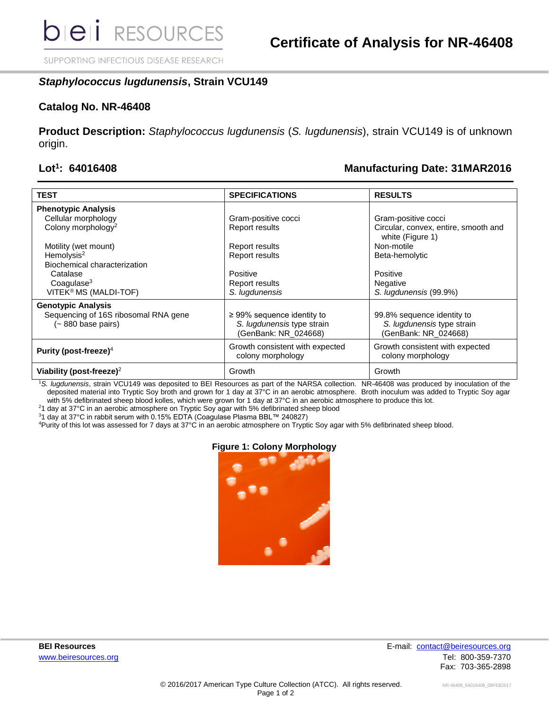SUPPORTING INFECTIOUS DISEASE RESEARCH

# *Staphylococcus lugdunensis***, Strain VCU149**

### **Catalog No. NR-46408**

**Product Description:** *Staphylococcus lugdunensis* (*S. lugdunensis*), strain VCU149 is of unknown origin.

#### Lot<sup>1</sup>: 64016408

# **: 64016408 Manufacturing Date: 31MAR2016**

| <b>TEST</b>                                               | <b>SPECIFICATIONS</b>                                                                 | <b>RESULTS</b>                                                                   |
|-----------------------------------------------------------|---------------------------------------------------------------------------------------|----------------------------------------------------------------------------------|
| <b>Phenotypic Analysis</b>                                |                                                                                       |                                                                                  |
| Cellular morphology                                       | Gram-positive cocci                                                                   | Gram-positive cocci                                                              |
| Colony morphology <sup>2</sup>                            | Report results                                                                        | Circular, convex, entire, smooth and<br>white (Figure 1)                         |
| Motility (wet mount)                                      | Report results                                                                        | Non-motile                                                                       |
| Hemolysis <sup>2</sup>                                    | <b>Report results</b>                                                                 | Beta-hemolytic                                                                   |
| Biochemical characterization                              |                                                                                       |                                                                                  |
| Catalase                                                  | Positive                                                                              | Positive                                                                         |
| $Coa$ qulase $3$                                          | Report results                                                                        | <b>Negative</b>                                                                  |
| VITEK® MS (MALDI-TOF)                                     | S. lugdunensis                                                                        | S. lugdunensis (99.9%)                                                           |
| <b>Genotypic Analysis</b>                                 |                                                                                       |                                                                                  |
| Sequencing of 16S ribosomal RNA gene<br>(~880 base pairs) | $\geq$ 99% sequence identity to<br>S. lugdunensis type strain<br>(GenBank: NR_024668) | 99.8% sequence identity to<br>S. lugdunensis type strain<br>(GenBank: NR_024668) |
| Purity (post-freeze) <sup>4</sup>                         | Growth consistent with expected<br>colony morphology                                  | Growth consistent with expected<br>colony morphology                             |
| Viability (post-freeze) <sup>2</sup>                      | Growth                                                                                | Growth                                                                           |

<sup>1</sup>*S. lugdunensis*, strain VCU149 was deposited to BEI Resources as part of the NARSA collection. NR-46408 was produced by inoculation of the deposited material into Tryptic Soy broth and grown for 1 day at 37°C in an aerobic atmosphere. Broth inoculum was added to Tryptic Soy agar with 5% defibrinated sheep blood kolles, which were grown for 1 day at 37°C in an aerobic atmosphere to produce this lot.

<sup>2</sup>1 day at 37°C in an aerobic atmosphere on Tryptic Soy agar with 5% defibrinated sheep blood

<sup>3</sup>1 day at 37°C in rabbit serum with 0.15% EDTA (Coagulase Plasma BBL™ 240827)

<sup>4</sup>Purity of this lot was assessed for 7 days at 37°C in an aerobic atmosphere on Tryptic Soy agar with 5% defibrinated sheep blood.

#### **Figure 1: Colony Morphology**



**BEI Resources** E-mail: [contact@beiresources.org](mailto:contact@beiresources.org) [www.beiresources.org](http://www.beiresources.org/)Tel: 800-359-7370 Fax: 703-365-2898